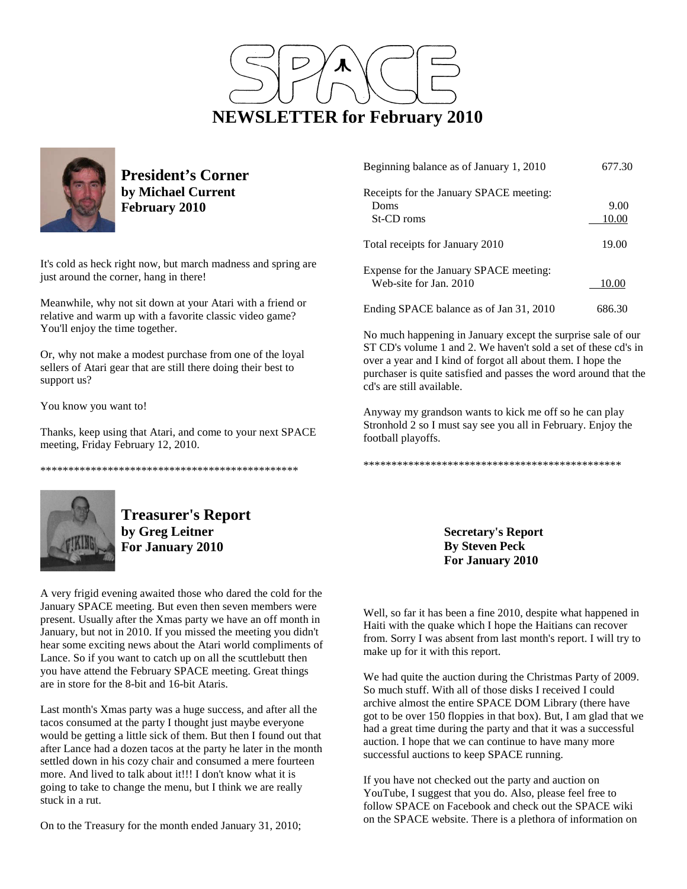



**President's Corner by Michael Current February 2010**

It's cold as heck right now, but march madness and spring are just around the corner, hang in there!

Meanwhile, why not sit down at your Atari with a friend or relative and warm up with a favorite classic video game? You'll enjoy the time together.

Or, why not make a modest purchase from one of the loyal sellers of Atari gear that are still there doing their best to support us?

You know you want to!

Thanks, keep using that Atari, and come to your next SPACE meeting, Friday February 12, 2010.

\*\*\*\*\*\*\*\*\*\*\*\*\*\*\*\*\*\*\*\*\*\*\*\*\*\*\*\*\*\*\*\*\*\*\*\*\*\*\*\*\*\*\*\*\*\*



**Treasurer's Report by Greg Leitner For January 2010** 

A very frigid evening awaited those who dared the cold for the January SPACE meeting. But even then seven members were present. Usually after the Xmas party we have an off month in January, but not in 2010. If you missed the meeting you didn't hear some exciting news about the Atari world compliments of Lance. So if you want to catch up on all the scuttlebutt then you have attend the February SPACE meeting. Great things are in store for the 8-bit and 16-bit Ataris.

Last month's Xmas party was a huge success, and after all the tacos consumed at the party I thought just maybe everyone would be getting a little sick of them. But then I found out that after Lance had a dozen tacos at the party he later in the month settled down in his cozy chair and consumed a mere fourteen more. And lived to talk about it!!! I don't know what it is going to take to change the menu, but I think we are really stuck in a rut.

On to the Treasury for the month ended January 31, 2010;

| Beginning balance as of January 1, 2010 | 677.30 |
|-----------------------------------------|--------|
| Receipts for the January SPACE meeting: |        |
| Doms                                    | 9.00   |
| St-CD roms                              | 10.00  |
| Total receipts for January 2010         | 19.00  |
| Expense for the January SPACE meeting:  |        |
| Web-site for Jan. 2010                  | 10.00  |
| Ending SPACE balance as of Jan 31, 2010 | 686.30 |

No much happening in January except the surprise sale of our ST CD's volume 1 and 2. We haven't sold a set of these cd's in over a year and I kind of forgot all about them. I hope the purchaser is quite satisfied and passes the word around that the cd's are still available.

Anyway my grandson wants to kick me off so he can play Stronhold 2 so I must say see you all in February. Enjoy the football playoffs.

\*\*\*\*\*\*\*\*\*\*\*\*\*\*\*\*\*\*\*\*\*\*\*\*\*\*\*\*\*\*\*\*\*\*\*\*\*\*\*\*\*\*\*\*\*\*

**Secretary's Report By Steven Peck For January 2010** 

Well, so far it has been a fine 2010, despite what happened in Haiti with the quake which I hope the Haitians can recover from. Sorry I was absent from last month's report. I will try to make up for it with this report.

We had quite the auction during the Christmas Party of 2009. So much stuff. With all of those disks I received I could archive almost the entire SPACE DOM Library (there have got to be over 150 floppies in that box). But, I am glad that we had a great time during the party and that it was a successful auction. I hope that we can continue to have many more successful auctions to keep SPACE running.

If you have not checked out the party and auction on YouTube, I suggest that you do. Also, please feel free to follow SPACE on Facebook and check out the SPACE wiki on the SPACE website. There is a plethora of information on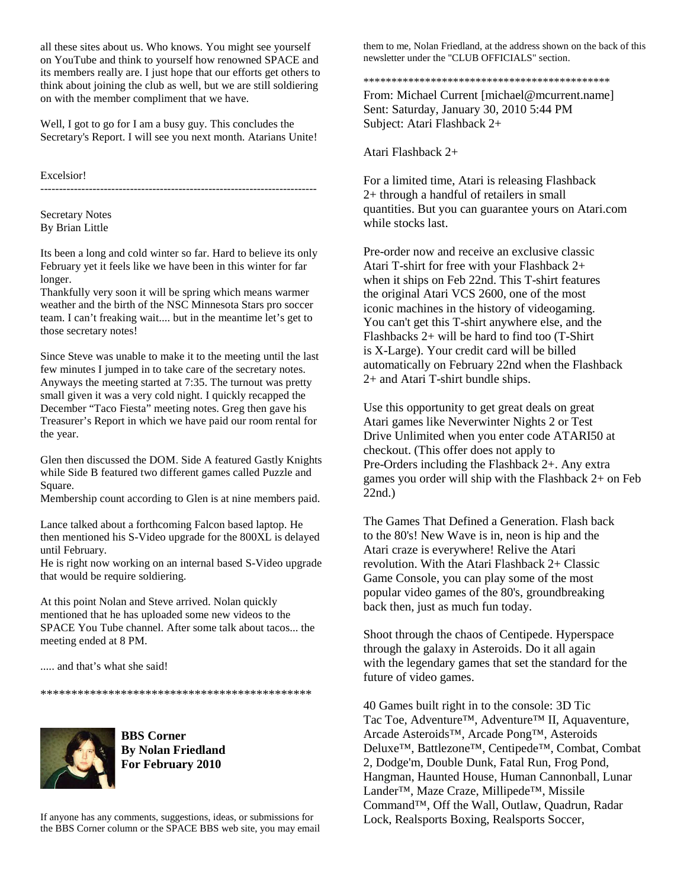all these sites about us. Who knows. You might see yourself on YouTube and think to yourself how renowned SPACE and its members really are. I just hope that our efforts get others to think about joining the club as well, but we are still soldiering on with the member compliment that we have.

Well, I got to go for I am a busy guy. This concludes the Secretary's Report. I will see you next month. Atarians Unite!

--------------------------------------------------------------------------

Excelsior!

Secretary Notes By Brian Little

Its been a long and cold winter so far. Hard to believe its only February yet it feels like we have been in this winter for far longer.

Thankfully very soon it will be spring which means warmer weather and the birth of the NSC Minnesota Stars pro soccer team. I can't freaking wait.... but in the meantime let's get to those secretary notes!

Since Steve was unable to make it to the meeting until the last few minutes I jumped in to take care of the secretary notes. Anyways the meeting started at 7:35. The turnout was pretty small given it was a very cold night. I quickly recapped the December "Taco Fiesta" meeting notes. Greg then gave his Treasurer's Report in which we have paid our room rental for the year.

Glen then discussed the DOM. Side A featured Gastly Knights while Side B featured two different games called Puzzle and Square.

Membership count according to Glen is at nine members paid.

Lance talked about a forthcoming Falcon based laptop. He then mentioned his S-Video upgrade for the 800XL is delayed until February.

He is right now working on an internal based S-Video upgrade that would be require soldiering.

At this point Nolan and Steve arrived. Nolan quickly mentioned that he has uploaded some new videos to the SPACE You Tube channel. After some talk about tacos... the meeting ended at 8 PM.

..... and that's what she said!

\*\*\*\*\*\*\*\*\*\*\*\*\*\*\*\*\*\*\*\*\*\*\*\*\*\*\*\*\*\*\*\*\*\*\*\*\*\*\*\*\*\*\*\*



**BBS Corner By Nolan Friedland For February 2010** 

If anyone has any comments, suggestions, ideas, or submissions for the BBS Corner column or the SPACE BBS web site, you may email

them to me, Nolan Friedland, at the address shown on the back of this newsletter under the "CLUB OFFICIALS" section.

#### \*\*\*\*\*\*\*\*\*\*\*\*\*\*\*\*\*\*\*\*\*\*\*\*\*\*\*\*\*\*\*\*\*\*\*\*\*\*\*\*\*\*\*\*

From: Michael Current [michael@mcurrent.name] Sent: Saturday, January 30, 2010 5:44 PM Subject: Atari Flashback 2+

Atari Flashback 2+

For a limited time, Atari is releasing Flashback 2+ through a handful of retailers in small quantities. But you can guarantee yours on Atari.com while stocks last.

Pre-order now and receive an exclusive classic Atari T-shirt for free with your Flashback 2+ when it ships on Feb 22nd. This T-shirt features the original Atari VCS 2600, one of the most iconic machines in the history of videogaming. You can't get this T-shirt anywhere else, and the Flashbacks 2+ will be hard to find too (T-Shirt is X-Large). Your credit card will be billed automatically on February 22nd when the Flashback 2+ and Atari T-shirt bundle ships.

Use this opportunity to get great deals on great Atari games like Neverwinter Nights 2 or Test Drive Unlimited when you enter code ATARI50 at checkout. (This offer does not apply to Pre-Orders including the Flashback 2+. Any extra games you order will ship with the Flashback 2+ on Feb 22nd.)

The Games That Defined a Generation. Flash back to the 80's! New Wave is in, neon is hip and the Atari craze is everywhere! Relive the Atari revolution. With the Atari Flashback 2+ Classic Game Console, you can play some of the most popular video games of the 80's, groundbreaking back then, just as much fun today.

Shoot through the chaos of Centipede. Hyperspace through the galaxy in Asteroids. Do it all again with the legendary games that set the standard for the future of video games.

40 Games built right in to the console: 3D Tic Tac Toe, Adventure™, Adventure™ II, Aquaventure, Arcade Asteroids™, Arcade Pong™, Asteroids Deluxe™, Battlezone™, Centipede™, Combat, Combat 2, Dodge'm, Double Dunk, Fatal Run, Frog Pond, Hangman, Haunted House, Human Cannonball, Lunar Lander™, Maze Craze, Millipede™, Missile Command™, Off the Wall, Outlaw, Quadrun, Radar Lock, Realsports Boxing, Realsports Soccer,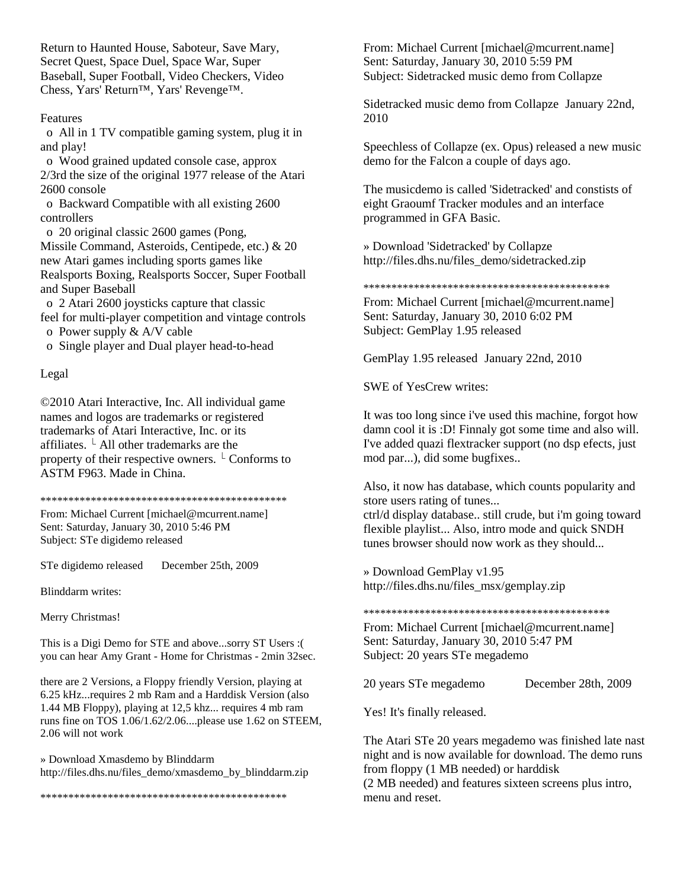Return to Haunted House, Saboteur, Save Mary, Secret Quest, Space Duel, Space War, Super Baseball, Super Football, Video Checkers, Video Chess, Yars' Return™, Yars' Revenge™.

### Features

 o All in 1 TV compatible gaming system, plug it in and play!

 o Wood grained updated console case, approx 2/3rd the size of the original 1977 release of the Atari 2600 console

 o Backward Compatible with all existing 2600 controllers

 o 20 original classic 2600 games (Pong, Missile Command, Asteroids, Centipede, etc.) & 20 new Atari games including sports games like Realsports Boxing, Realsports Soccer, Super Football and Super Baseball

 o 2 Atari 2600 joysticks capture that classic feel for multi-player competition and vintage controls

o Power supply & A/V cable

o Single player and Dual player head-to-head

### Legal

©2010 Atari Interactive, Inc. All individual game names and logos are trademarks or registered trademarks of Atari Interactive, Inc. or its affiliates.  $\perp$  All other trademarks are the property of their respective owners.  $\perp$  Conforms to ASTM F963. Made in China.

\*\*\*\*\*\*\*\*\*\*\*\*\*\*\*\*\*\*\*\*\*\*\*\*\*\*\*\*\*\*\*\*\*\*\*\*\*\*\*\*\*\*\*\*

From: Michael Current [michael@mcurrent.name] Sent: Saturday, January 30, 2010 5:46 PM Subject: STe digidemo released

STe digidemo released December 25th, 2009

Blinddarm writes:

Merry Christmas!

This is a Digi Demo for STE and above...sorry ST Users :( you can hear Amy Grant - Home for Christmas - 2min 32sec.

there are 2 Versions, a Floppy friendly Version, playing at 6.25 kHz...requires 2 mb Ram and a Harddisk Version (also 1.44 MB Floppy), playing at 12,5 khz... requires 4 mb ram runs fine on TOS 1.06/1.62/2.06....please use 1.62 on STEEM, 2.06 will not work

» Download Xmasdemo by Blinddarm http://files.dhs.nu/files\_demo/xmasdemo\_by\_blinddarm.zip

\*\*\*\*\*\*\*\*\*\*\*\*\*\*\*\*\*\*\*\*\*\*\*\*\*\*\*\*\*\*\*\*\*\*\*\*\*\*\*\*\*\*\*\*

From: Michael Current [michael@mcurrent.name] Sent: Saturday, January 30, 2010 5:59 PM Subject: Sidetracked music demo from Collapze

Sidetracked music demo from Collapze January 22nd, 2010

Speechless of Collapze (ex. Opus) released a new music demo for the Falcon a couple of days ago.

The musicdemo is called 'Sidetracked' and constists of eight Graoumf Tracker modules and an interface programmed in GFA Basic.

» Download 'Sidetracked' by Collapze http://files.dhs.nu/files\_demo/sidetracked.zip

#### \*\*\*\*\*\*\*\*\*\*\*\*\*\*\*\*\*\*\*\*\*\*\*\*\*\*\*\*\*\*\*\*\*\*\*\*\*\*\*\*\*\*\*\*

From: Michael Current [michael@mcurrent.name] Sent: Saturday, January 30, 2010 6:02 PM Subject: GemPlay 1.95 released

GemPlay 1.95 released January 22nd, 2010

SWE of YesCrew writes:

It was too long since i've used this machine, forgot how damn cool it is :D! Finnaly got some time and also will. I've added quazi flextracker support (no dsp efects, just mod par...), did some bugfixes..

Also, it now has database, which counts popularity and store users rating of tunes...

ctrl/d display database.. still crude, but i'm going toward flexible playlist... Also, intro mode and quick SNDH tunes browser should now work as they should...

» Download GemPlay v1.95 http://files.dhs.nu/files\_msx/gemplay.zip

\*\*\*\*\*\*\*\*\*\*\*\*\*\*\*\*\*\*\*\*\*\*\*\*\*\*\*\*\*\*\*\*\*\*\*\*\*\*\*\*\*\*\*\*

From: Michael Current [michael@mcurrent.name] Sent: Saturday, January 30, 2010 5:47 PM Subject: 20 years STe megademo

20 years STe megademo December 28th, 2009

Yes! It's finally released.

The Atari STe 20 years megademo was finished late nast night and is now available for download. The demo runs from floppy (1 MB needed) or harddisk

(2 MB needed) and features sixteen screens plus intro, menu and reset.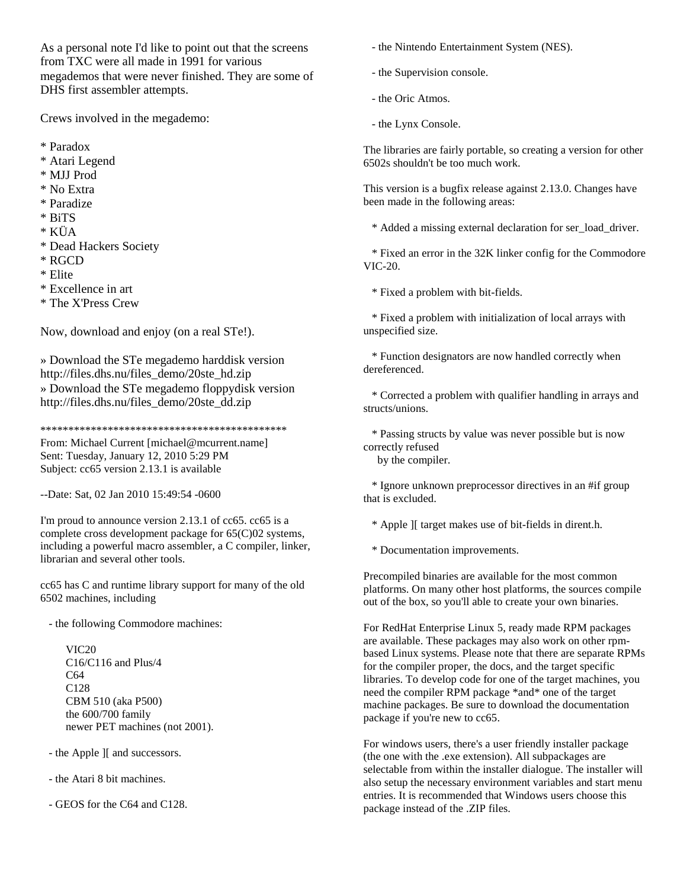As a personal note I'd like to point out that the screens from TXC were all made in 1991 for various megademos that were never finished. They are some of DHS first assembler attempts.

Crews involved in the megademo:

- \* Paradox
- \* Atari Legend
- \* MJJ Prod
- \* No Extra
- \* Paradize
- \* BiTS
- \* KÜA
- \* Dead Hackers Society
- \* RGCD
- \* Elite
- \* Excellence in art
- \* The X'Press Crew

Now, download and enjoy (on a real STe!).

» Download the STe megademo harddisk version http://files.dhs.nu/files\_demo/20ste\_hd.zip » Download the STe megademo floppydisk version http://files.dhs.nu/files\_demo/20ste\_dd.zip

\*\*\*\*\*\*\*\*\*\*\*\*\*\*\*\*\*\*\*\*\*\*\*\*\*\*\*\*\*\*\*\*\*\*\*\*\*\*\*\*\*\*\*\*

From: Michael Current [michael@mcurrent.name] Sent: Tuesday, January 12, 2010 5:29 PM Subject: cc65 version 2.13.1 is available

--Date: Sat, 02 Jan 2010 15:49:54 -0600

I'm proud to announce version 2.13.1 of cc65. cc65 is a complete cross development package for 65(C)02 systems, including a powerful macro assembler, a C compiler, linker, librarian and several other tools.

cc65 has C and runtime library support for many of the old 6502 machines, including

- the following Commodore machines:

 VIC20 C16/C116 and Plus/4 C64 C128 CBM 510 (aka P500) the 600/700 family newer PET machines (not 2001).

- the Apple ][ and successors.

- the Atari 8 bit machines.

- GEOS for the C64 and C128.

- the Nintendo Entertainment System (NES).

- the Supervision console.

- the Oric Atmos.
- the Lynx Console.

The libraries are fairly portable, so creating a version for other 6502s shouldn't be too much work.

This version is a bugfix release against 2.13.0. Changes have been made in the following areas:

\* Added a missing external declaration for ser\_load\_driver.

 \* Fixed an error in the 32K linker config for the Commodore VIC-20.

\* Fixed a problem with bit-fields.

 \* Fixed a problem with initialization of local arrays with unspecified size.

 \* Function designators are now handled correctly when dereferenced.

 \* Corrected a problem with qualifier handling in arrays and structs/unions.

 \* Passing structs by value was never possible but is now correctly refused

by the compiler.

 \* Ignore unknown preprocessor directives in an #if group that is excluded.

\* Apple ][ target makes use of bit-fields in dirent.h.

\* Documentation improvements.

Precompiled binaries are available for the most common platforms. On many other host platforms, the sources compile out of the box, so you'll able to create your own binaries.

For RedHat Enterprise Linux 5, ready made RPM packages are available. These packages may also work on other rpmbased Linux systems. Please note that there are separate RPMs for the compiler proper, the docs, and the target specific libraries. To develop code for one of the target machines, you need the compiler RPM package \*and\* one of the target machine packages. Be sure to download the documentation package if you're new to cc65.

For windows users, there's a user friendly installer package (the one with the .exe extension). All subpackages are selectable from within the installer dialogue. The installer will also setup the necessary environment variables and start menu entries. It is recommended that Windows users choose this package instead of the .ZIP files.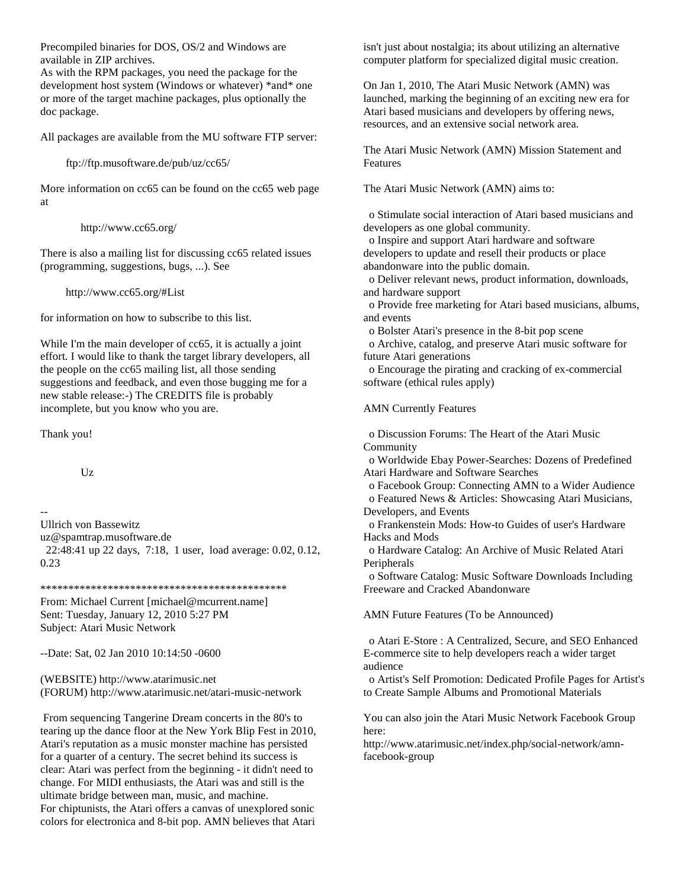Precompiled binaries for DOS, OS/2 and Windows are available in ZIP archives.

As with the RPM packages, you need the package for the development host system (Windows or whatever) \*and\* one or more of the target machine packages, plus optionally the doc package.

All packages are available from the MU software FTP server:

ftp://ftp.musoftware.de/pub/uz/cc65/

More information on cc65 can be found on the cc65 web page at

http://www.cc65.org/

There is also a mailing list for discussing cc65 related issues (programming, suggestions, bugs, ...). See

http://www.cc65.org/#List

for information on how to subscribe to this list.

While I'm the main developer of cc65, it is actually a joint effort. I would like to thank the target library developers, all the people on the cc65 mailing list, all those sending suggestions and feedback, and even those bugging me for a new stable release:-) The CREDITS file is probably incomplete, but you know who you are.

Thank you!

 $Uz$ 

-- Ullrich von Bassewitz uz@spamtrap.musoftware.de 22:48:41 up 22 days, 7:18, 1 user, load average: 0.02, 0.12, 0.23

\*\*\*\*\*\*\*\*\*\*\*\*\*\*\*\*\*\*\*\*\*\*\*\*\*\*\*\*\*\*\*\*\*\*\*\*\*\*\*\*\*\*\*\*

From: Michael Current [michael@mcurrent.name] Sent: Tuesday, January 12, 2010 5:27 PM Subject: Atari Music Network

--Date: Sat, 02 Jan 2010 10:14:50 -0600

(WEBSITE) http://www.atarimusic.net (FORUM) http://www.atarimusic.net/atari-music-network

 From sequencing Tangerine Dream concerts in the 80's to tearing up the dance floor at the New York Blip Fest in 2010, Atari's reputation as a music monster machine has persisted for a quarter of a century. The secret behind its success is clear: Atari was perfect from the beginning - it didn't need to change. For MIDI enthusiasts, the Atari was and still is the ultimate bridge between man, music, and machine. For chiptunists, the Atari offers a canvas of unexplored sonic colors for electronica and 8-bit pop. AMN believes that Atari isn't just about nostalgia; its about utilizing an alternative computer platform for specialized digital music creation.

On Jan 1, 2010, The Atari Music Network (AMN) was launched, marking the beginning of an exciting new era for Atari based musicians and developers by offering news, resources, and an extensive social network area.

The Atari Music Network (AMN) Mission Statement and Features

The Atari Music Network (AMN) aims to:

 o Stimulate social interaction of Atari based musicians and developers as one global community.

 o Inspire and support Atari hardware and software developers to update and resell their products or place abandonware into the public domain.

 o Deliver relevant news, product information, downloads, and hardware support

 o Provide free marketing for Atari based musicians, albums, and events

o Bolster Atari's presence in the 8-bit pop scene

 o Archive, catalog, and preserve Atari music software for future Atari generations

 o Encourage the pirating and cracking of ex-commercial software (ethical rules apply)

AMN Currently Features

 o Discussion Forums: The Heart of the Atari Music Community

 o Worldwide Ebay Power-Searches: Dozens of Predefined Atari Hardware and Software Searches

 o Facebook Group: Connecting AMN to a Wider Audience o Featured News & Articles: Showcasing Atari Musicians, Developers, and Events

 o Frankenstein Mods: How-to Guides of user's Hardware Hacks and Mods

 o Hardware Catalog: An Archive of Music Related Atari Peripherals

 o Software Catalog: Music Software Downloads Including Freeware and Cracked Abandonware

AMN Future Features (To be Announced)

 o Atari E-Store : A Centralized, Secure, and SEO Enhanced E-commerce site to help developers reach a wider target audience

 o Artist's Self Promotion: Dedicated Profile Pages for Artist's to Create Sample Albums and Promotional Materials

You can also join the Atari Music Network Facebook Group here:

http://www.atarimusic.net/index.php/social-network/amnfacebook-group